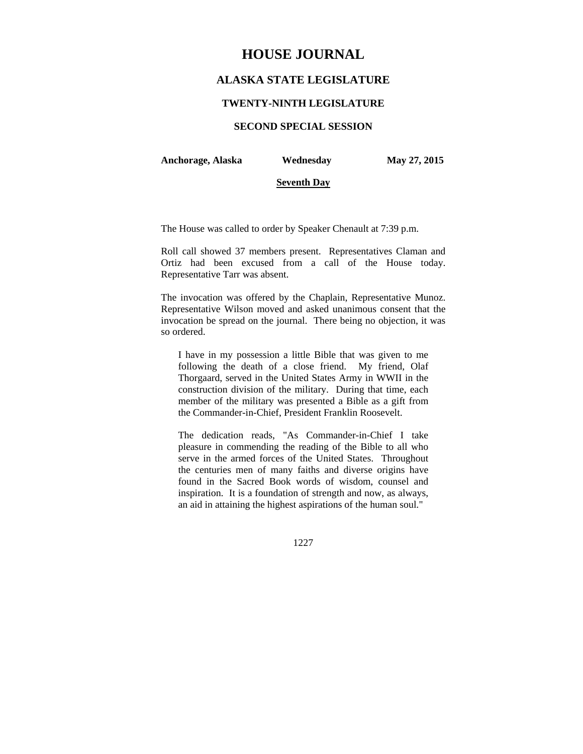# **HOUSE JOURNAL**

# **ALASKA STATE LEGISLATURE**

## **TWENTY-NINTH LEGISLATURE**

# **SECOND SPECIAL SESSION**

**Anchorage, Alaska Wednesday May 27, 2015** 

#### **Seventh Day**

The House was called to order by Speaker Chenault at 7:39 p.m.

Roll call showed 37 members present. Representatives Claman and Ortiz had been excused from a call of the House today. Representative Tarr was absent.

The invocation was offered by the Chaplain, Representative Munoz. Representative Wilson moved and asked unanimous consent that the invocation be spread on the journal. There being no objection, it was so ordered.

I have in my possession a little Bible that was given to me following the death of a close friend. My friend, Olaf Thorgaard, served in the United States Army in WWII in the construction division of the military. During that time, each member of the military was presented a Bible as a gift from the Commander-in-Chief, President Franklin Roosevelt.

The dedication reads, "As Commander-in-Chief I take pleasure in commending the reading of the Bible to all who serve in the armed forces of the United States. Throughout the centuries men of many faiths and diverse origins have found in the Sacred Book words of wisdom, counsel and inspiration. It is a foundation of strength and now, as always, an aid in attaining the highest aspirations of the human soul."

1227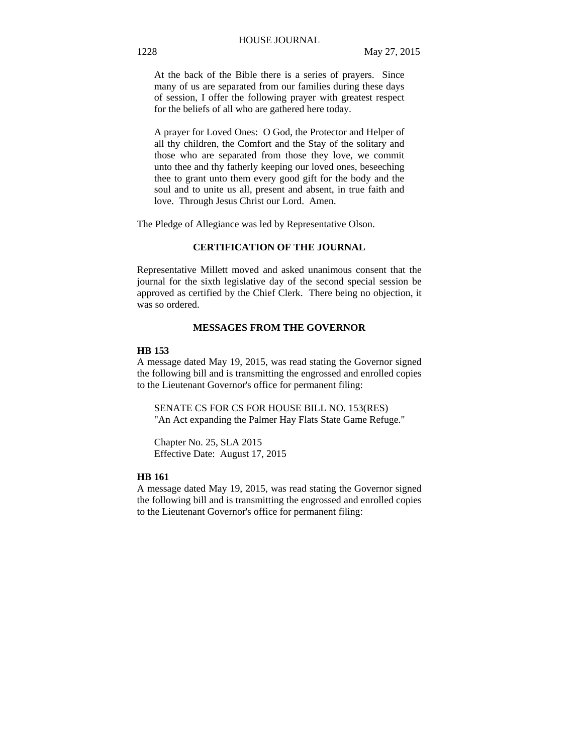At the back of the Bible there is a series of prayers. Since many of us are separated from our families during these days of session, I offer the following prayer with greatest respect for the beliefs of all who are gathered here today.

A prayer for Loved Ones: O God, the Protector and Helper of all thy children, the Comfort and the Stay of the solitary and those who are separated from those they love, we commit unto thee and thy fatherly keeping our loved ones, beseeching thee to grant unto them every good gift for the body and the soul and to unite us all, present and absent, in true faith and love. Through Jesus Christ our Lord. Amen.

The Pledge of Allegiance was led by Representative Olson.

# **CERTIFICATION OF THE JOURNAL**

Representative Millett moved and asked unanimous consent that the journal for the sixth legislative day of the second special session be approved as certified by the Chief Clerk. There being no objection, it was so ordered.

## **MESSAGES FROM THE GOVERNOR**

# **HB 153**

A message dated May 19, 2015, was read stating the Governor signed the following bill and is transmitting the engrossed and enrolled copies to the Lieutenant Governor's office for permanent filing:

SENATE CS FOR CS FOR HOUSE BILL NO. 153(RES) "An Act expanding the Palmer Hay Flats State Game Refuge."

Chapter No. 25, SLA 2015 Effective Date: August 17, 2015

#### **HB 161**

A message dated May 19, 2015, was read stating the Governor signed the following bill and is transmitting the engrossed and enrolled copies to the Lieutenant Governor's office for permanent filing: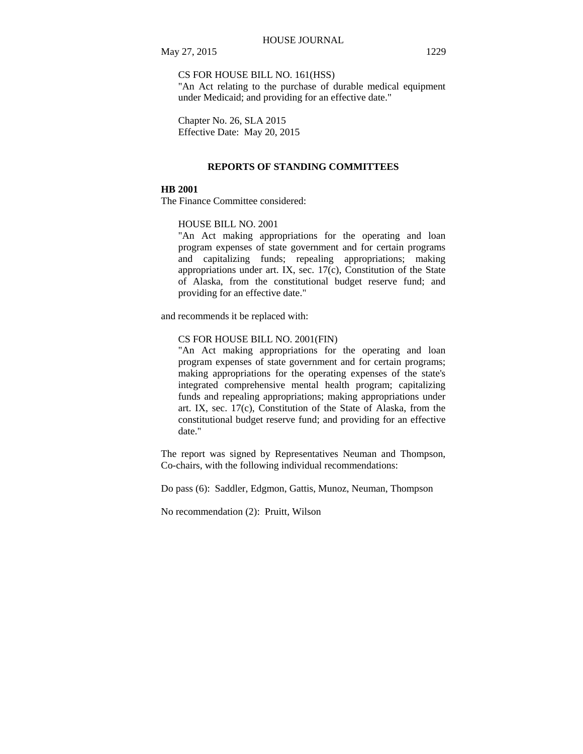CS FOR HOUSE BILL NO. 161(HSS)

"An Act relating to the purchase of durable medical equipment under Medicaid; and providing for an effective date."

Chapter No. 26, SLA 2015 Effective Date: May 20, 2015

#### **REPORTS OF STANDING COMMITTEES**

# **HB 2001**

The Finance Committee considered:

#### HOUSE BILL NO. 2001

"An Act making appropriations for the operating and loan program expenses of state government and for certain programs and capitalizing funds; repealing appropriations; making appropriations under art. IX, sec. 17(c), Constitution of the State of Alaska, from the constitutional budget reserve fund; and providing for an effective date."

and recommends it be replaced with:

#### CS FOR HOUSE BILL NO. 2001(FIN)

"An Act making appropriations for the operating and loan program expenses of state government and for certain programs; making appropriations for the operating expenses of the state's integrated comprehensive mental health program; capitalizing funds and repealing appropriations; making appropriations under art. IX, sec. 17(c), Constitution of the State of Alaska, from the constitutional budget reserve fund; and providing for an effective date."

The report was signed by Representatives Neuman and Thompson, Co-chairs, with the following individual recommendations:

Do pass (6): Saddler, Edgmon, Gattis, Munoz, Neuman, Thompson

No recommendation (2): Pruitt, Wilson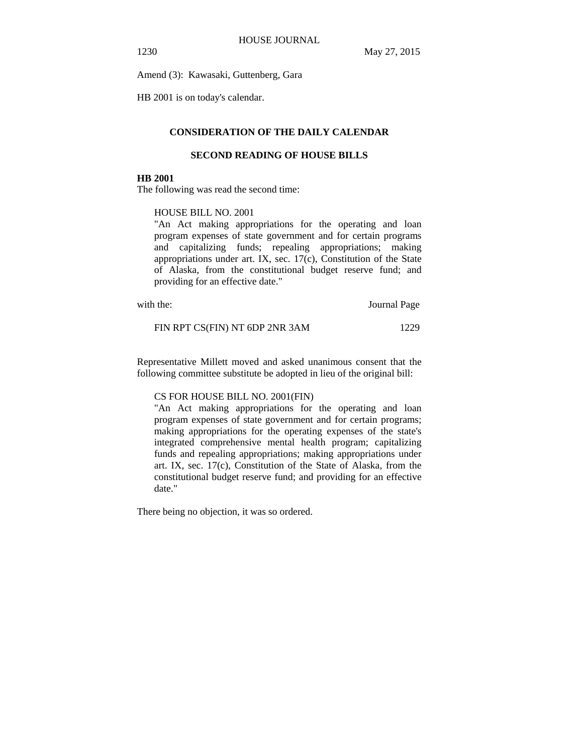Amend (3): Kawasaki, Guttenberg, Gara

HB 2001 is on today's calendar.

# **CONSIDERATION OF THE DAILY CALENDAR**

#### **SECOND READING OF HOUSE BILLS**

#### **HB 2001**

The following was read the second time:

### HOUSE BILL NO. 2001

"An Act making appropriations for the operating and loan program expenses of state government and for certain programs and capitalizing funds; repealing appropriations; making appropriations under art. IX, sec. 17(c), Constitution of the State of Alaska, from the constitutional budget reserve fund; and providing for an effective date."

with the: Journal Page

FIN RPT CS(FIN) NT 6DP 2NR 3AM 1229

Representative Millett moved and asked unanimous consent that the following committee substitute be adopted in lieu of the original bill:

#### CS FOR HOUSE BILL NO. 2001(FIN)

"An Act making appropriations for the operating and loan program expenses of state government and for certain programs; making appropriations for the operating expenses of the state's integrated comprehensive mental health program; capitalizing funds and repealing appropriations; making appropriations under art. IX, sec. 17(c), Constitution of the State of Alaska, from the constitutional budget reserve fund; and providing for an effective date."

There being no objection, it was so ordered.